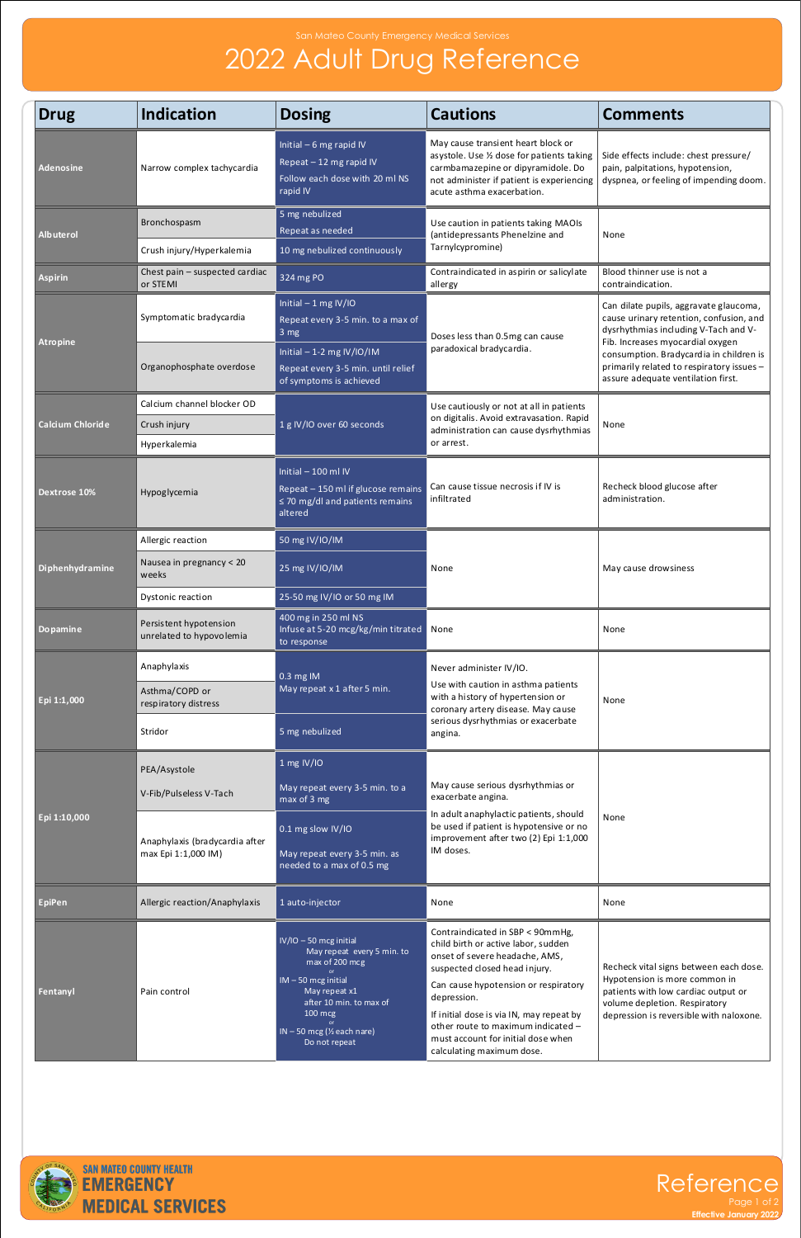## San Mateo County Emergency Medical Services

## 2022 Adult Drug Reference



Page 1 of 2 **Effective January 2022**

| <b>Drug</b>                                | <b>Indication</b>                                     | <b>Dosing</b>                                                                                                                                                                                                                    | <b>Cautions</b>                                                                                                                                                                                                                                                                                                                                        | <b>Comments</b>                                                                                                                                                                                                                                                                                    |
|--------------------------------------------|-------------------------------------------------------|----------------------------------------------------------------------------------------------------------------------------------------------------------------------------------------------------------------------------------|--------------------------------------------------------------------------------------------------------------------------------------------------------------------------------------------------------------------------------------------------------------------------------------------------------------------------------------------------------|----------------------------------------------------------------------------------------------------------------------------------------------------------------------------------------------------------------------------------------------------------------------------------------------------|
| <b>Adenosine</b>                           | Narrow complex tachycardia                            | Initial $-6$ mg rapid IV<br>Repeat - 12 mg rapid IV<br>Follow each dose with 20 ml NS<br>rapid IV                                                                                                                                | May cause transient heart block or<br>asystole. Use 1/2 dose for patients taking<br>carmbamazepine or dipyramidole. Do<br>not administer if patient is experiencing<br>acute asthma exacerbation.                                                                                                                                                      | Side effects include: chest pressure/<br>pain, palpitations, hypotension,<br>dyspnea, or feeling of impending doom.                                                                                                                                                                                |
| <b>Albuterol</b>                           | Bronchospasm<br>Crush injury/Hyperkalemia             | 5 mg nebulized<br>Repeat as needed<br>10 mg nebulized continuously                                                                                                                                                               | Use caution in patients taking MAOIs<br>(antidepressants Phenelzine and<br>Tarnylcypromine)                                                                                                                                                                                                                                                            | None                                                                                                                                                                                                                                                                                               |
| <b>Aspirin</b>                             | Chest pain - suspected cardiac<br>or STEMI            | 324 mg PO                                                                                                                                                                                                                        | Contraindicated in aspirin or salicylate<br>allergy                                                                                                                                                                                                                                                                                                    | Blood thinner use is not a<br>contraindication.                                                                                                                                                                                                                                                    |
| <b>Atropine</b><br><b>Calcium Chloride</b> | Symptomatic bradycardia<br>Organophosphate overdose   | Initial $-1$ mg IV/IO<br>Repeat every 3-5 min. to a max of<br>3 mg<br>Initial $-1-2$ mg IV/IO/IM<br>Repeat every 3-5 min. until relief                                                                                           | Doses less than 0.5mg can cause<br>paradoxical bradycardia.<br>Use cautiously or not at all in patients<br>on digitalis. Avoid extravasation. Rapid<br>administration can cause dysrhythmias<br>or arrest.                                                                                                                                             | Can dilate pupils, aggravate glaucoma,<br>cause urinary retention, confusion, and<br>dysrhythmias including V-Tach and V-<br>Fib. Increases myocardial oxygen<br>consumption. Bradycardia in children is<br>primarily related to respiratory issues-<br>assure adequate ventilation first.<br>None |
|                                            | Calcium channel blocker OD                            | of symptoms is achieved                                                                                                                                                                                                          |                                                                                                                                                                                                                                                                                                                                                        |                                                                                                                                                                                                                                                                                                    |
|                                            | Crush injury                                          | 1 g IV/IO over 60 seconds                                                                                                                                                                                                        |                                                                                                                                                                                                                                                                                                                                                        |                                                                                                                                                                                                                                                                                                    |
|                                            | Hyperkalemia                                          |                                                                                                                                                                                                                                  |                                                                                                                                                                                                                                                                                                                                                        |                                                                                                                                                                                                                                                                                                    |
| Dextrose 10%                               | Hypoglycemia                                          | Initial $-100$ ml IV<br>Repeat - 150 ml if glucose remains<br>$\leq$ 70 mg/dl and patients remains<br>altered                                                                                                                    | Can cause tissue necrosis if IV is<br>infiltrated                                                                                                                                                                                                                                                                                                      | Recheck blood glucose after<br>administration.                                                                                                                                                                                                                                                     |
| Diphenhydramine                            | Allergic reaction                                     | 50 mg IV/IO/IM                                                                                                                                                                                                                   | None                                                                                                                                                                                                                                                                                                                                                   | May cause drowsiness                                                                                                                                                                                                                                                                               |
|                                            | Nausea in pregnancy < 20<br>weeks                     | 25 mg IV/IO/IM                                                                                                                                                                                                                   |                                                                                                                                                                                                                                                                                                                                                        |                                                                                                                                                                                                                                                                                                    |
|                                            | Dystonic reaction                                     | 25-50 mg IV/IO or 50 mg IM                                                                                                                                                                                                       |                                                                                                                                                                                                                                                                                                                                                        |                                                                                                                                                                                                                                                                                                    |
| <b>Dopamine</b>                            | Persistent hypotension<br>unrelated to hypovolemia    | 400 mg in 250 ml NS<br>Infuse at 5-20 mcg/kg/min titrated<br>to response                                                                                                                                                         | None                                                                                                                                                                                                                                                                                                                                                   | None                                                                                                                                                                                                                                                                                               |
| Epi 1:1,000                                | Anaphylaxis<br>Asthma/COPD or<br>respiratory distress | 0.3 mg IM<br>May repeat x 1 after 5 min.                                                                                                                                                                                         | Never administer IV/IO.<br>Use with caution in asthma patients<br>with a history of hypertension or<br>coronary artery disease. May cause<br>serious dysrhythmias or exacerbate<br>angina.                                                                                                                                                             | None                                                                                                                                                                                                                                                                                               |
|                                            | Stridor                                               | 5 mg nebulized                                                                                                                                                                                                                   |                                                                                                                                                                                                                                                                                                                                                        |                                                                                                                                                                                                                                                                                                    |
| Epi 1:10,000                               | PEA/Asystole<br>V-Fib/Pulseless V-Tach                | 1 mg IV/IO<br>May repeat every 3-5 min. to a<br>max of 3 mg                                                                                                                                                                      | May cause serious dysrhythmias or<br>exacerbate angina.                                                                                                                                                                                                                                                                                                | None                                                                                                                                                                                                                                                                                               |
|                                            | Anaphylaxis (bradycardia after<br>max Epi 1:1,000 IM) | 0.1 mg slow IV/IO<br>May repeat every 3-5 min. as<br>needed to a max of 0.5 mg                                                                                                                                                   | In adult anaphylactic patients, should<br>be used if patient is hypotensive or no<br>improvement after two (2) Epi 1:1,000<br>IM doses.                                                                                                                                                                                                                |                                                                                                                                                                                                                                                                                                    |
| <b>EpiPen</b>                              | Allergic reaction/Anaphylaxis                         | 1 auto-injector                                                                                                                                                                                                                  | None                                                                                                                                                                                                                                                                                                                                                   | None                                                                                                                                                                                                                                                                                               |
| Fentanyl                                   | Pain control                                          | $IV/IO - 50$ mcg initial<br>May repeat every 5 min. to<br>max of 200 mcg<br>$IM - 50$ mcg initial<br>May repeat x1<br>after 10 min. to max of<br>$100 \text{ m}$ cg<br>$IN - 50$ mcg ( $\frac{1}{2}$ each nare)<br>Do not repeat | Contraindicated in SBP < 90mmHg,<br>child birth or active labor, sudden<br>onset of severe headache, AMS,<br>suspected closed head injury.<br>Can cause hypotension or respiratory<br>depression.<br>If initial dose is via IN, may repeat by<br>other route to maximum indicated -<br>must account for initial dose when<br>calculating maximum dose. | Recheck vital signs between each dose.<br>Hypotension is more common in<br>patients with low cardiac output or<br>volume depletion. Respiratory<br>depression is reversible with naloxone.                                                                                                         |